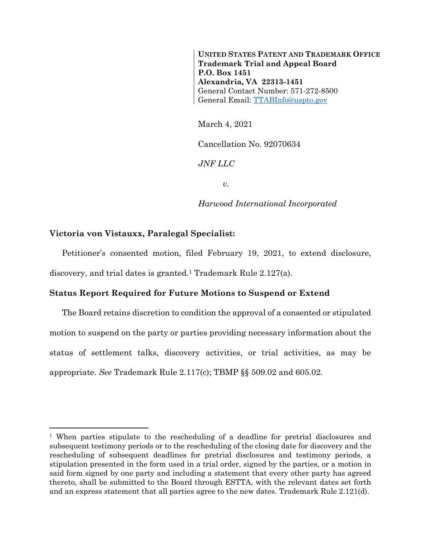**UNITED STATES PATENT AND TRADEMARK OFFICE Trademark Trial and Appeal Board P.O. Box 1451 Alexandria, VA 22313-1451** General Contact Number: 571-272-8500 General Email: [TTABInfo@uspto.gov](mailto:TTABInfo@uspto.gov)

March 4, 2021

Cancellation No. 92070634

*JNF LLC*

*v.*

*Harwood International Incorporated*

## **Victoria von Vistauxx, Paralegal Specialist:**

l

Petitioner's consented motion, filed February 19, 2021, to extend disclosure, discovery, and trial dates is granted.<sup>1</sup> Trademark Rule 2.127(a).

## **Status Report Required for Future Motions to Suspend or Extend**

The Board retains discretion to condition the approval of a consented or stipulated motion to suspend on the party or parties providing necessary information about the status of settlement talks, discovery activities, or trial activities, as may be appropriate. *See* Trademark Rule 2.117(c); TBMP §§ 509.02 and 605.02.

<sup>1</sup> When parties stipulate to the rescheduling of a deadline for pretrial disclosures and subsequent testimony periods or to the rescheduling of the closing date for discovery and the rescheduling of subsequent deadlines for pretrial disclosures and testimony periods, a stipulation presented in the form used in a trial order, signed by the parties, or a motion in said form signed by one party and including a statement that every other party has agreed thereto, shall be submitted to the Board through ESTTA, with the relevant dates set forth and an express statement that all parties agree to the new dates. Trademark Rule 2.121(d).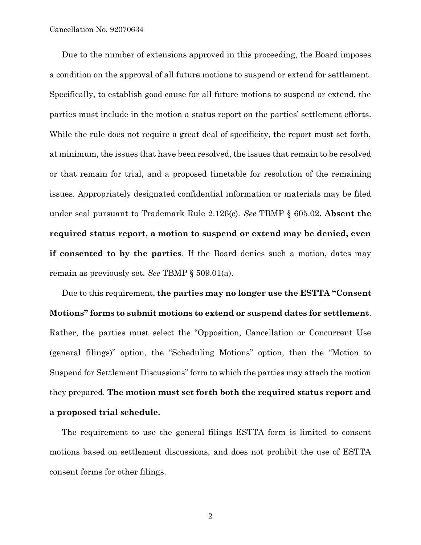Due to the number of extensions approved in this proceeding, the Board imposes a condition on the approval of all future motions to suspend or extend for settlement. Specifically, to establish good cause for all future motions to suspend or extend, the parties must include in the motion a status report on the parties' settlement efforts. While the rule does not require a great deal of specificity, the report must set forth, at minimum, the issues that have been resolved, the issues that remain to be resolved or that remain for trial, and a proposed timetable for resolution of the remaining issues. Appropriately designated confidential information or materials may be filed under seal pursuant to Trademark Rule 2.126(c). *See* TBMP § 605.02**. Absent the required status report, a motion to suspend or extend may be denied, even if consented to by the parties**. If the Board denies such a motion, dates may remain as previously set. *See* TBMP § 509.01(a).

Due to this requirement, **the parties may no longer use the ESTTA "Consent Motions" forms to submit motions to extend or suspend dates for settlement**. Rather, the parties must select the "Opposition, Cancellation or Concurrent Use (general filings)" option, the "Scheduling Motions" option, then the "Motion to Suspend for Settlement Discussions" form to which the parties may attach the motion they prepared. **The motion must set forth both the required status report and a proposed trial schedule.**

The requirement to use the general filings ESTTA form is limited to consent motions based on settlement discussions, and does not prohibit the use of ESTTA consent forms for other filings.

2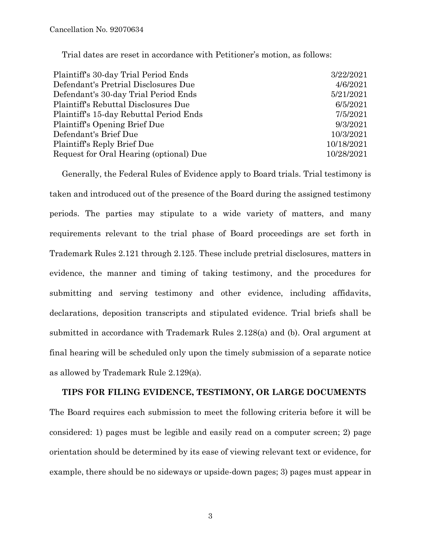Trial dates are reset in accordance with Petitioner's motion, as follows:

| 3/22/2021  |
|------------|
| 4/6/2021   |
| 5/21/2021  |
| 6/5/2021   |
| 7/5/2021   |
| 9/3/2021   |
| 10/3/2021  |
| 10/18/2021 |
| 10/28/2021 |
|            |

Generally, the Federal Rules of Evidence apply to Board trials. Trial testimony is taken and introduced out of the presence of the Board during the assigned testimony periods. The parties may stipulate to a wide variety of matters, and many requirements relevant to the trial phase of Board proceedings are set forth in Trademark Rules 2.121 through 2.125. These include pretrial disclosures, matters in evidence, the manner and timing of taking testimony, and the procedures for submitting and serving testimony and other evidence, including affidavits, declarations, deposition transcripts and stipulated evidence. Trial briefs shall be submitted in accordance with Trademark Rules 2.128(a) and (b). Oral argument at final hearing will be scheduled only upon the timely submission of a separate notice as allowed by Trademark Rule 2.129(a).

## **TIPS FOR FILING EVIDENCE, TESTIMONY, OR LARGE DOCUMENTS**

The Board requires each submission to meet the following criteria before it will be considered: 1) pages must be legible and easily read on a computer screen; 2) page orientation should be determined by its ease of viewing relevant text or evidence, for example, there should be no sideways or upside-down pages; 3) pages must appear in